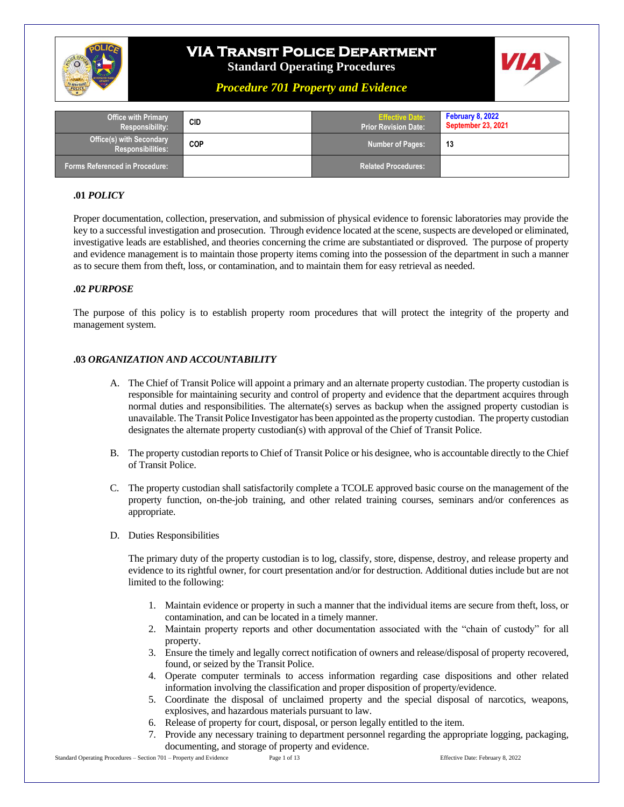

# **VIA Transit Police Department**

**Standard Operating Procedures**

## *Procedure 701 Property and Evidence*

| <b>Office with Primary</b><br><b>Responsibility:</b>        | CID        | <b>Effective Date:</b><br><b>Prior Revision Date:</b> ' | <b>February 8, 2022</b><br><b>September 23, 2021</b> |
|-------------------------------------------------------------|------------|---------------------------------------------------------|------------------------------------------------------|
| <b>Office(s) with Secondary</b><br><b>Responsibilities:</b> | <b>COP</b> | Number of Pages:                                        | 13                                                   |
| <b>Forms Referenced in Procedure:</b>                       |            | Related Procedures:                                     |                                                      |

### **.01** *POLICY*

Proper documentation, collection, preservation, and submission of physical evidence to forensic laboratories may provide the key to a successful investigation and prosecution. Through evidence located at the scene, suspects are developed or eliminated, investigative leads are established, and theories concerning the crime are substantiated or disproved. The purpose of property and evidence management is to maintain those property items coming into the possession of the department in such a manner as to secure them from theft, loss, or contamination, and to maintain them for easy retrieval as needed.

#### **.02** *PURPOSE*

The purpose of this policy is to establish property room procedures that will protect the integrity of the property and management system.

#### **.03** *ORGANIZATION AND ACCOUNTABILITY*

- A. The Chief of Transit Police will appoint a primary and an alternate property custodian. The property custodian is responsible for maintaining security and control of property and evidence that the department acquires through normal duties and responsibilities. The alternate(s) serves as backup when the assigned property custodian is unavailable. The Transit Police Investigator has been appointed as the property custodian. The property custodian designates the alternate property custodian(s) with approval of the Chief of Transit Police.
- B. The property custodian reports to Chief of Transit Police or his designee, who is accountable directly to the Chief of Transit Police.
- C. The property custodian shall satisfactorily complete a TCOLE approved basic course on the management of the property function, on-the-job training, and other related training courses, seminars and/or conferences as appropriate.
- D. Duties Responsibilities

The primary duty of the property custodian is to log, classify, store, dispense, destroy, and release property and evidence to its rightful owner, for court presentation and/or for destruction. Additional duties include but are not limited to the following:

- 1. Maintain evidence or property in such a manner that the individual items are secure from theft, loss, or contamination, and can be located in a timely manner.
- 2. Maintain property reports and other documentation associated with the "chain of custody" for all property.
- 3. Ensure the timely and legally correct notification of owners and release/disposal of property recovered, found, or seized by the Transit Police.
- 4. Operate computer terminals to access information regarding case dispositions and other related information involving the classification and proper disposition of property/evidence.
- 5. Coordinate the disposal of unclaimed property and the special disposal of narcotics, weapons, explosives, and hazardous materials pursuant to law.
- 6. Release of property for court, disposal, or person legally entitled to the item.
- 7. Provide any necessary training to department personnel regarding the appropriate logging, packaging, documenting, and storage of property and evidence.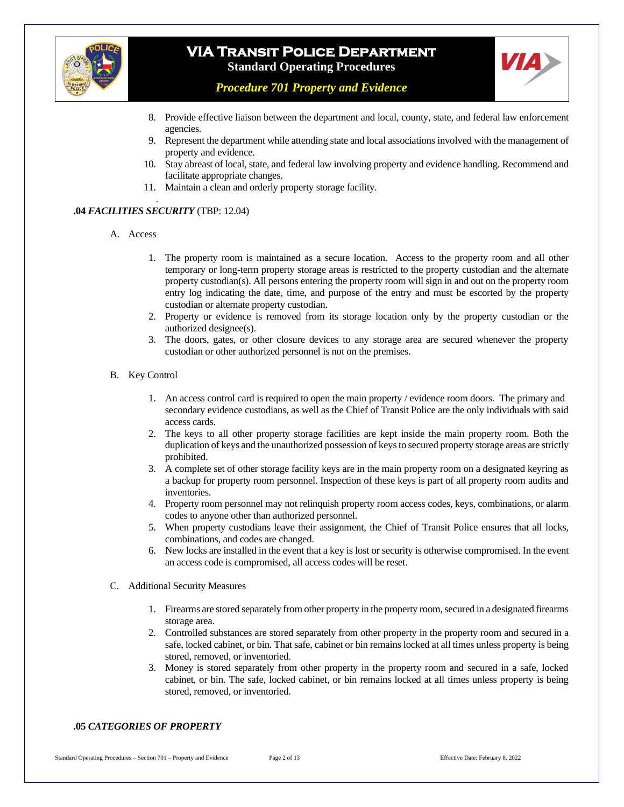



*Procedure 701 Property and Evidence*

- 8. Provide effective liaison between the department and local, county, state, and federal law enforcement agencies.
- 9. Represent the department while attending state and local associations involved with the management of property and evidence.
- 10. Stay abreast of local, state, and federal law involving property and evidence handling. Recommend and facilitate appropriate changes.
- 11. Maintain a clean and orderly property storage facility.

#### . **.04** *FACILITIES SECURITY* (TBP: 12.04)

- A. Access
	- 1. The property room is maintained as a secure location. Access to the property room and all other temporary or long-term property storage areas is restricted to the property custodian and the alternate property custodian(s). All persons entering the property room will sign in and out on the property room entry log indicating the date, time, and purpose of the entry and must be escorted by the property custodian or alternate property custodian.
	- 2. Property or evidence is removed from its storage location only by the property custodian or the authorized designee(s).
	- 3. The doors, gates, or other closure devices to any storage area are secured whenever the property custodian or other authorized personnel is not on the premises.

#### B. Key Control

- 1. An access control card is required to open the main property / evidence room doors. The primary and secondary evidence custodians, as well as the Chief of Transit Police are the only individuals with said access cards.
- 2. The keys to all other property storage facilities are kept inside the main property room. Both the duplication of keys and the unauthorized possession of keys to secured property storage areas are strictly prohibited.
- 3. A complete set of other storage facility keys are in the main property room on a designated keyring as a backup for property room personnel. Inspection of these keys is part of all property room audits and inventories.
- 4. Property room personnel may not relinquish property room access codes, keys, combinations, or alarm codes to anyone other than authorized personnel.
- 5. When property custodians leave their assignment, the Chief of Transit Police ensures that all locks, combinations, and codes are changed.
- 6. New locks are installed in the event that a key is lost or security is otherwise compromised. In the event an access code is compromised, all access codes will be reset.
- C. Additional Security Measures
	- 1. Firearms are stored separately from other property in the property room, secured in a designated firearms storage area.
	- 2. Controlled substances are stored separately from other property in the property room and secured in a safe, locked cabinet, or bin. That safe, cabinet or bin remains locked at all times unless property is being stored, removed, or inventoried.
	- 3. Money is stored separately from other property in the property room and secured in a safe, locked cabinet, or bin. The safe, locked cabinet, or bin remains locked at all times unless property is being stored, removed, or inventoried.

#### **.05** *CATEGORIES OF PROPERTY*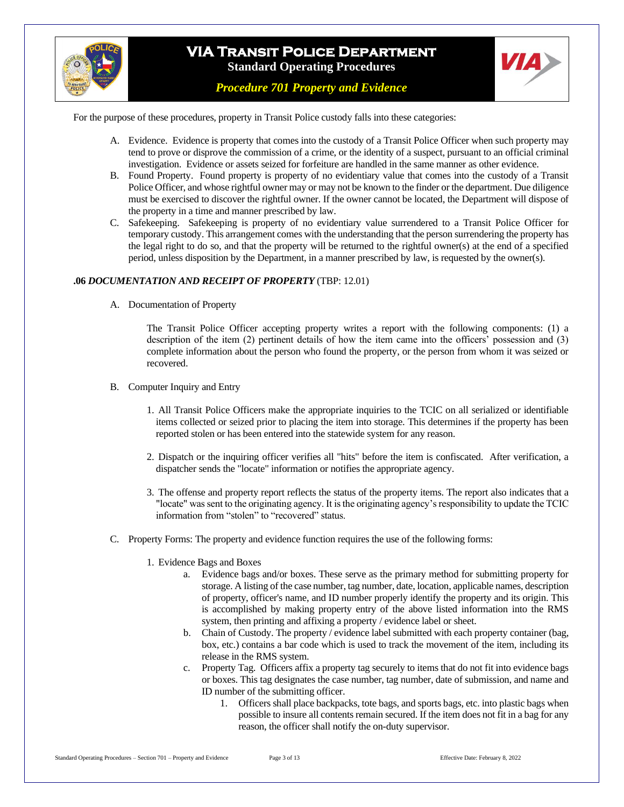



For the purpose of these procedures, property in Transit Police custody falls into these categories:

- A. Evidence. Evidence is property that comes into the custody of a Transit Police Officer when such property may tend to prove or disprove the commission of a crime, or the identity of a suspect, pursuant to an official criminal investigation. Evidence or assets seized for forfeiture are handled in the same manner as other evidence.
- B. Found Property. Found property is property of no evidentiary value that comes into the custody of a Transit Police Officer, and whose rightful owner may or may not be known to the finder or the department. Due diligence must be exercised to discover the rightful owner. If the owner cannot be located, the Department will dispose of the property in a time and manner prescribed by law.
- C. Safekeeping. Safekeeping is property of no evidentiary value surrendered to a Transit Police Officer for temporary custody. This arrangement comes with the understanding that the person surrendering the property has the legal right to do so, and that the property will be returned to the rightful owner(s) at the end of a specified period, unless disposition by the Department, in a manner prescribed by law, is requested by the owner(s).

#### **.06** *DOCUMENTATION AND RECEIPT OF PROPERTY* (TBP: 12.01)

A. Documentation of Property

The Transit Police Officer accepting property writes a report with the following components: (1) a description of the item (2) pertinent details of how the item came into the officers' possession and (3) complete information about the person who found the property, or the person from whom it was seized or recovered.

- B. Computer Inquiry and Entry
	- 1. All Transit Police Officers make the appropriate inquiries to the TCIC on all serialized or identifiable items collected or seized prior to placing the item into storage. This determines if the property has been reported stolen or has been entered into the statewide system for any reason.
	- 2. Dispatch or the inquiring officer verifies all "hits" before the item is confiscated. After verification, a dispatcher sends the "locate" information or notifies the appropriate agency.
	- 3. The offense and property report reflects the status of the property items. The report also indicates that a "locate" was sent to the originating agency. It is the originating agency's responsibility to update the TCIC information from "stolen" to "recovered" status.
- C. Property Forms: The property and evidence function requires the use of the following forms:
	- 1. Evidence Bags and Boxes
		- a. Evidence bags and/or boxes. These serve as the primary method for submitting property for storage. A listing of the case number, tag number, date, location, applicable names, description of property, officer's name, and ID number properly identify the property and its origin. This is accomplished by making property entry of the above listed information into the RMS system, then printing and affixing a property / evidence label or sheet.
		- b. Chain of Custody. The property / evidence label submitted with each property container (bag, box, etc.) contains a bar code which is used to track the movement of the item, including its release in the RMS system.
		- c. Property Tag. Officers affix a property tag securely to items that do not fit into evidence bags or boxes. This tag designates the case number, tag number, date of submission, and name and ID number of the submitting officer.
			- 1. Officers shall place backpacks, tote bags, and sports bags, etc. into plastic bags when possible to insure all contents remain secured. If the item does not fit in a bag for any reason, the officer shall notify the on-duty supervisor.

**VIA**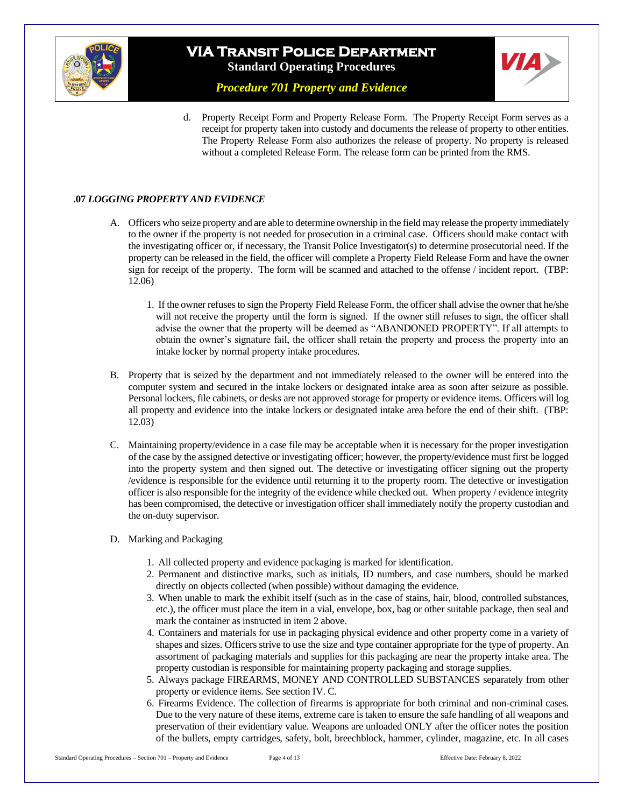



*Procedure 701 Property and Evidence*

d. Property Receipt Form and Property Release Form. The Property Receipt Form serves as a receipt for property taken into custody and documents the release of property to other entities. The Property Release Form also authorizes the release of property. No property is released without a completed Release Form. The release form can be printed from the RMS.

### **.07** *LOGGING PROPERTY AND EVIDENCE*

- A. Officers who seize property and are able to determine ownership in the field may release the property immediately to the owner if the property is not needed for prosecution in a criminal case. Officers should make contact with the investigating officer or, if necessary, the Transit Police Investigator(s) to determine prosecutorial need. If the property can be released in the field, the officer will complete a Property Field Release Form and have the owner sign for receipt of the property. The form will be scanned and attached to the offense / incident report. (TBP: 12.06)
	- 1. If the owner refuses to sign the Property Field Release Form, the officer shall advise the owner that he/she will not receive the property until the form is signed. If the owner still refuses to sign, the officer shall advise the owner that the property will be deemed as "ABANDONED PROPERTY". If all attempts to obtain the owner's signature fail, the officer shall retain the property and process the property into an intake locker by normal property intake procedures.
- B. Property that is seized by the department and not immediately released to the owner will be entered into the computer system and secured in the intake lockers or designated intake area as soon after seizure as possible. Personal lockers, file cabinets, or desks are not approved storage for property or evidence items. Officers will log all property and evidence into the intake lockers or designated intake area before the end of their shift. (TBP: 12.03)
- C. Maintaining property/evidence in a case file may be acceptable when it is necessary for the proper investigation of the case by the assigned detective or investigating officer; however, the property/evidence must first be logged into the property system and then signed out. The detective or investigating officer signing out the property /evidence is responsible for the evidence until returning it to the property room. The detective or investigation officer is also responsible for the integrity of the evidence while checked out. When property / evidence integrity has been compromised, the detective or investigation officer shall immediately notify the property custodian and the on-duty supervisor.
- D. Marking and Packaging
	- 1. All collected property and evidence packaging is marked for identification.
	- 2. Permanent and distinctive marks, such as initials, ID numbers, and case numbers, should be marked directly on objects collected (when possible) without damaging the evidence.
	- 3. When unable to mark the exhibit itself (such as in the case of stains, hair, blood, controlled substances, etc.), the officer must place the item in a vial, envelope, box, bag or other suitable package, then seal and mark the container as instructed in item 2 above.
	- 4. Containers and materials for use in packaging physical evidence and other property come in a variety of shapes and sizes. Officers strive to use the size and type container appropriate for the type of property. An assortment of packaging materials and supplies for this packaging are near the property intake area. The property custodian is responsible for maintaining property packaging and storage supplies.
	- 5. Always package FIREARMS, MONEY AND CONTROLLED SUBSTANCES separately from other property or evidence items. See section IV. C.
	- 6. Firearms Evidence. The collection of firearms is appropriate for both criminal and non-criminal cases. Due to the very nature of these items, extreme care is taken to ensure the safe handling of all weapons and preservation of their evidentiary value. Weapons are unloaded ONLY after the officer notes the position of the bullets, empty cartridges, safety, bolt, breechblock, hammer, cylinder, magazine, etc. In all cases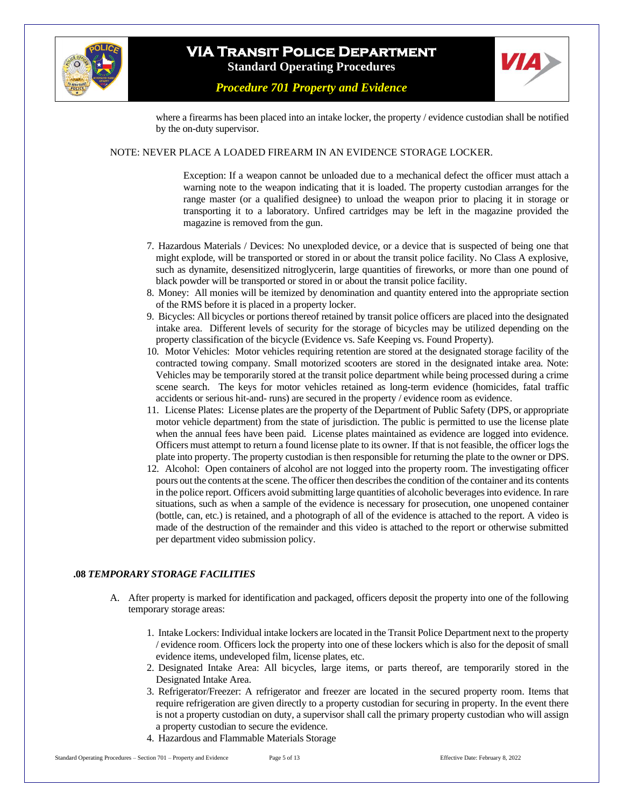



*Procedure 701 Property and Evidence*

where a firearms has been placed into an intake locker, the property / evidence custodian shall be notified by the on-duty supervisor.

#### NOTE: NEVER PLACE A LOADED FIREARM IN AN EVIDENCE STORAGE LOCKER.

Exception: If a weapon cannot be unloaded due to a mechanical defect the officer must attach a warning note to the weapon indicating that it is loaded. The property custodian arranges for the range master (or a qualified designee) to unload the weapon prior to placing it in storage or transporting it to a laboratory. Unfired cartridges may be left in the magazine provided the magazine is removed from the gun.

- 7. Hazardous Materials / Devices: No unexploded device, or a device that is suspected of being one that might explode, will be transported or stored in or about the transit police facility. No Class A explosive, such as dynamite, desensitized nitroglycerin, large quantities of fireworks, or more than one pound of black powder will be transported or stored in or about the transit police facility.
- 8. Money: All monies will be itemized by denomination and quantity entered into the appropriate section of the RMS before it is placed in a property locker.
- 9. Bicycles: All bicycles or portions thereof retained by transit police officers are placed into the designated intake area. Different levels of security for the storage of bicycles may be utilized depending on the property classification of the bicycle (Evidence vs. Safe Keeping vs. Found Property).
- 10. Motor Vehicles: Motor vehicles requiring retention are stored at the designated storage facility of the contracted towing company. Small motorized scooters are stored in the designated intake area. Note: Vehicles may be temporarily stored at the transit police department while being processed during a crime scene search. The keys for motor vehicles retained as long-term evidence (homicides, fatal traffic accidents or serious hit-and- runs) are secured in the property / evidence room as evidence.
- 11. License Plates: License plates are the property of the Department of Public Safety (DPS, or appropriate motor vehicle department) from the state of jurisdiction. The public is permitted to use the license plate when the annual fees have been paid. License plates maintained as evidence are logged into evidence. Officers must attempt to return a found license plate to its owner. If that is not feasible, the officer logs the plate into property. The property custodian is then responsible for returning the plate to the owner or DPS.
- 12. Alcohol: Open containers of alcohol are not logged into the property room. The investigating officer pours out the contents at the scene. The officer then describes the condition of the container and its contents in the police report. Officers avoid submitting large quantities of alcoholic beverages into evidence. In rare situations, such as when a sample of the evidence is necessary for prosecution, one unopened container (bottle, can, etc.) is retained, and a photograph of all of the evidence is attached to the report. A video is made of the destruction of the remainder and this video is attached to the report or otherwise submitted per department video submission policy.

#### **.08** *TEMPORARY STORAGE FACILITIES*

- A. After property is marked for identification and packaged, officers deposit the property into one of the following temporary storage areas:
	- 1. Intake Lockers: Individual intake lockers are located in the Transit Police Department next to the property / evidence room. Officers lock the property into one of these lockers which is also for the deposit of small evidence items, undeveloped film, license plates, etc.
	- 2. Designated Intake Area: All bicycles, large items, or parts thereof, are temporarily stored in the Designated Intake Area.
	- 3. Refrigerator/Freezer: A refrigerator and freezer are located in the secured property room. Items that require refrigeration are given directly to a property custodian for securing in property. In the event there is not a property custodian on duty, a supervisor shall call the primary property custodian who will assign a property custodian to secure the evidence.
	- 4. Hazardous and Flammable Materials Storage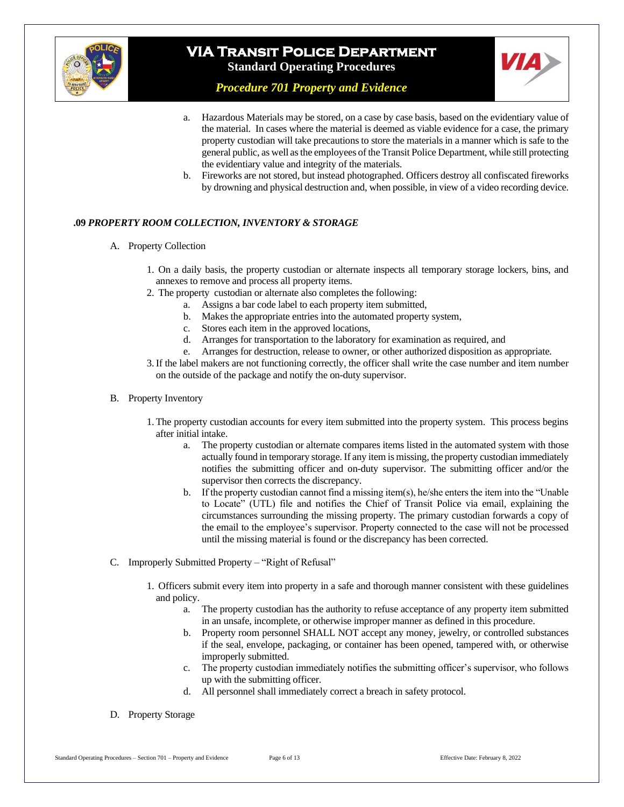



*Procedure 701 Property and Evidence*

- a. Hazardous Materials may be stored, on a case by case basis, based on the evidentiary value of the material. In cases where the material is deemed as viable evidence for a case, the primary property custodian will take precautions to store the materials in a manner which is safe to the general public, as well as the employees of the Transit Police Department, while still protecting the evidentiary value and integrity of the materials.
- b. Fireworks are not stored, but instead photographed. Officers destroy all confiscated fireworks by drowning and physical destruction and, when possible, in view of a video recording device.

#### **.09** *PROPERTY ROOM COLLECTION, INVENTORY & STORAGE*

- A. Property Collection
	- 1. On a daily basis, the property custodian or alternate inspects all temporary storage lockers, bins, and annexes to remove and process all property items.
	- 2. The property custodian or alternate also completes the following:
		- a. Assigns a bar code label to each property item submitted,
		- b. Makes the appropriate entries into the automated property system,
		- c. Stores each item in the approved locations,
		- d. Arranges for transportation to the laboratory for examination as required, and
		- e. Arranges for destruction, release to owner, or other authorized disposition as appropriate.
	- 3.If the label makers are not functioning correctly, the officer shall write the case number and item number on the outside of the package and notify the on-duty supervisor.

#### B. Property Inventory

- 1. The property custodian accounts for every item submitted into the property system. This process begins after initial intake.
	- a. The property custodian or alternate compares items listed in the automated system with those actually found in temporary storage. If any item is missing, the property custodian immediately notifies the submitting officer and on-duty supervisor. The submitting officer and/or the supervisor then corrects the discrepancy.
	- b. If the property custodian cannot find a missing item(s), he/she enters the item into the "Unable to Locate" (UTL) file and notifies the Chief of Transit Police via email, explaining the circumstances surrounding the missing property. The primary custodian forwards a copy of the email to the employee's supervisor. Property connected to the case will not be processed until the missing material is found or the discrepancy has been corrected.
- C. Improperly Submitted Property "Right of Refusal"
	- 1. Officers submit every item into property in a safe and thorough manner consistent with these guidelines and policy.
		- a. The property custodian has the authority to refuse acceptance of any property item submitted in an unsafe, incomplete, or otherwise improper manner as defined in this procedure.
		- b. Property room personnel SHALL NOT accept any money, jewelry, or controlled substances if the seal, envelope, packaging, or container has been opened, tampered with, or otherwise improperly submitted.
		- c. The property custodian immediately notifies the submitting officer's supervisor, who follows up with the submitting officer.
		- d. All personnel shall immediately correct a breach in safety protocol.

#### D. Property Storage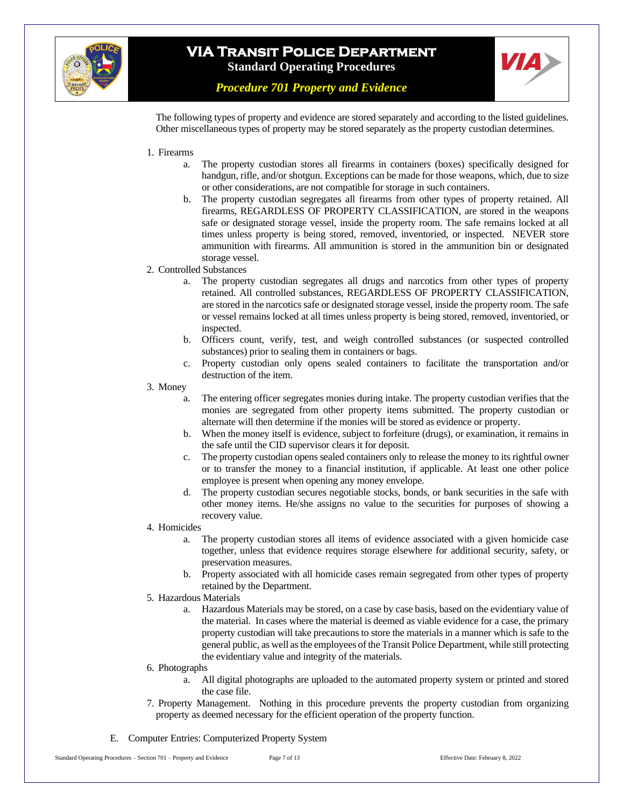



*Procedure 701 Property and Evidence*

The following types of property and evidence are stored separately and according to the listed guidelines. Other miscellaneous types of property may be stored separately as the property custodian determines.

- 1. Firearms
	- a. The property custodian stores all firearms in containers (boxes) specifically designed for handgun, rifle, and/or shotgun. Exceptions can be made for those weapons, which, due to size or other considerations, are not compatible for storage in such containers.
	- b. The property custodian segregates all firearms from other types of property retained. All firearms, REGARDLESS OF PROPERTY CLASSIFICATION, are stored in the weapons safe or designated storage vessel, inside the property room. The safe remains locked at all times unless property is being stored, removed, inventoried, or inspected. NEVER store ammunition with firearms. All ammunition is stored in the ammunition bin or designated storage vessel.
- 2. Controlled Substances
	- a. The property custodian segregates all drugs and narcotics from other types of property retained. All controlled substances, REGARDLESS OF PROPERTY CLASSIFICATION, are stored in the narcotics safe or designated storage vessel, inside the property room. The safe or vessel remains locked at all times unless property is being stored, removed, inventoried, or inspected.
	- b. Officers count, verify, test, and weigh controlled substances (or suspected controlled substances) prior to sealing them in containers or bags.
	- c. Property custodian only opens sealed containers to facilitate the transportation and/or destruction of the item.
- 3. Money
	- a. The entering officer segregates monies during intake. The property custodian verifies that the monies are segregated from other property items submitted. The property custodian or alternate will then determine if the monies will be stored as evidence or property.
	- b. When the money itself is evidence, subject to forfeiture (drugs), or examination, it remains in the safe until the CID supervisor clears it for deposit.
	- c. The property custodian opens sealed containers only to release the money to its rightful owner or to transfer the money to a financial institution, if applicable. At least one other police employee is present when opening any money envelope.
	- d. The property custodian secures negotiable stocks, bonds, or bank securities in the safe with other money items. He/she assigns no value to the securities for purposes of showing a recovery value.
- 4. Homicides
	- a. The property custodian stores all items of evidence associated with a given homicide case together, unless that evidence requires storage elsewhere for additional security, safety, or preservation measures.
	- b. Property associated with all homicide cases remain segregated from other types of property retained by the Department.
- 5. Hazardous Materials
	- a. Hazardous Materials may be stored, on a case by case basis, based on the evidentiary value of the material. In cases where the material is deemed as viable evidence for a case, the primary property custodian will take precautions to store the materials in a manner which is safe to the general public, as well as the employees of the Transit Police Department, while still protecting the evidentiary value and integrity of the materials.
- 6. Photographs
	- a. All digital photographs are uploaded to the automated property system or printed and stored the case file.
- 7. Property Management. Nothing in this procedure prevents the property custodian from organizing property as deemed necessary for the efficient operation of the property function.
- E. Computer Entries: Computerized Property System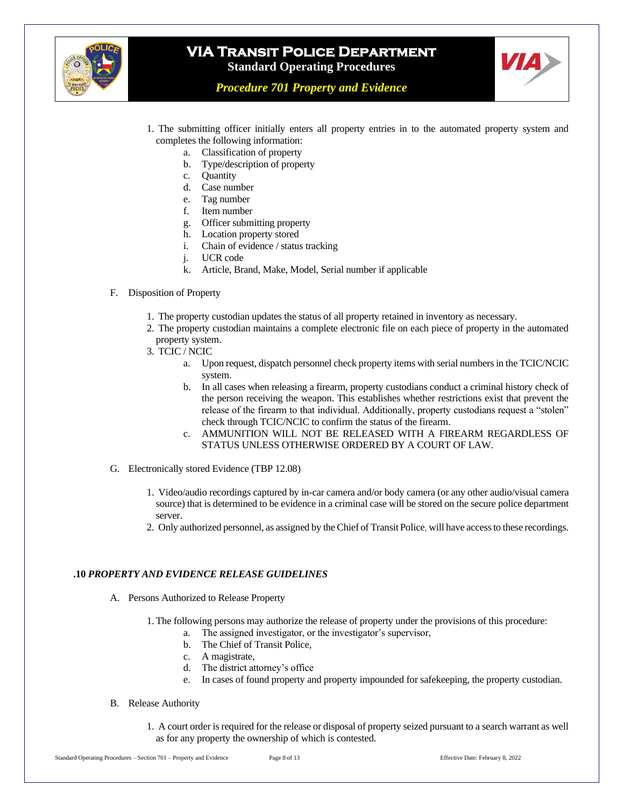



*Procedure 701 Property and Evidence*

- 1. The submitting officer initially enters all property entries in to the automated property system and completes the following information:
	- a. Classification of property
	- b. Type/description of property
	- c. Quantity
	- d. Case number
	- e. Tag number
	- f. Item number
	- g. Officer submitting property
	- h. Location property stored
	- i. Chain of evidence / status tracking
	- j. UCR code
	- k. Article, Brand, Make, Model, Serial number if applicable

#### F. Disposition of Property

- 1. The property custodian updates the status of all property retained in inventory as necessary.
- 2. The property custodian maintains a complete electronic file on each piece of property in the automated property system.
- 3. TCIC / NCIC
	- a. Upon request, dispatch personnel check property items with serial numbers in the TCIC/NCIC system.
	- b. In all cases when releasing a firearm, property custodians conduct a criminal history check of the person receiving the weapon. This establishes whether restrictions exist that prevent the release of the firearm to that individual. Additionally, property custodians request a "stolen" check through TCIC/NCIC to confirm the status of the firearm.
	- c. AMMUNITION WILL NOT BE RELEASED WITH A FIREARM REGARDLESS OF STATUS UNLESS OTHERWISE ORDERED BY A COURT OF LAW.
- G. Electronically stored Evidence (TBP 12.08)
	- 1. Video/audio recordings captured by in-car camera and/or body camera (or any other audio/visual camera source) that is determined to be evidence in a criminal case will be stored on the secure police department server.
	- 2. Only authorized personnel, as assigned by the Chief of Transit Police, will have access to these recordings.

#### **.10** *PROPERTY AND EVIDENCE RELEASE GUIDELINES*

- A. Persons Authorized to Release Property
	- 1. The following persons may authorize the release of property under the provisions of this procedure:
		- a. The assigned investigator, or the investigator's supervisor,
		- b. The Chief of Transit Police,
		- c. A magistrate,
		- d. The district attorney's office
		- e. In cases of found property and property impounded for safekeeping, the property custodian.
- B. Release Authority

1. A court order is required for the release or disposal of property seized pursuant to a search warrant as well as for any property the ownership of which is contested.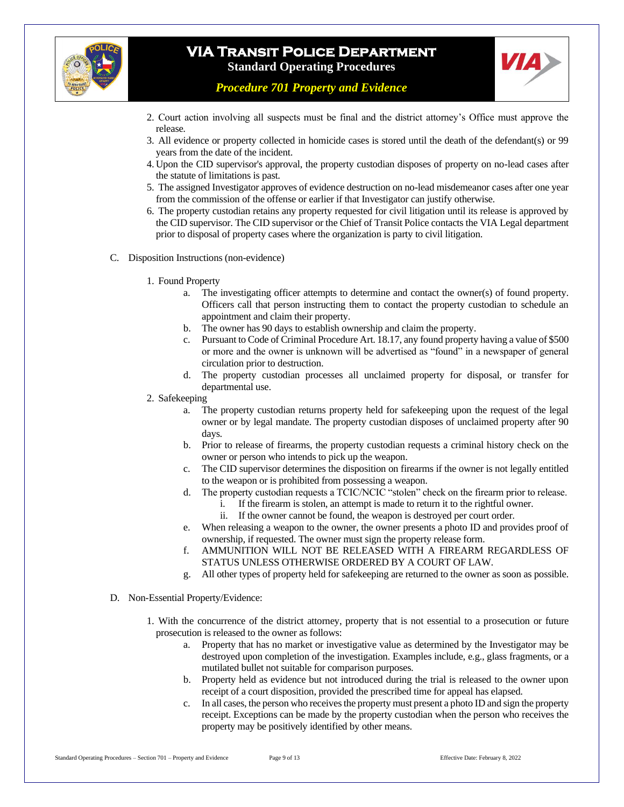



*Procedure 701 Property and Evidence*

- 2. Court action involving all suspects must be final and the district attorney's Office must approve the release.
- 3. All evidence or property collected in homicide cases is stored until the death of the defendant(s) or 99 years from the date of the incident.
- 4. Upon the CID supervisor's approval, the property custodian disposes of property on no-lead cases after the statute of limitations is past.
- 5. The assigned Investigator approves of evidence destruction on no-lead misdemeanor cases after one year from the commission of the offense or earlier if that Investigator can justify otherwise.
- 6. The property custodian retains any property requested for civil litigation until its release is approved by the CID supervisor. The CID supervisor or the Chief of Transit Police contacts the VIA Legal department prior to disposal of property cases where the organization is party to civil litigation.
- C. Disposition Instructions (non-evidence)
	- 1. Found Property
		- a. The investigating officer attempts to determine and contact the owner(s) of found property. Officers call that person instructing them to contact the property custodian to schedule an appointment and claim their property.
		- b. The owner has 90 days to establish ownership and claim the property.
		- c. Pursuant to Code of Criminal Procedure Art. 18.17, any found property having a value of \$500 or more and the owner is unknown will be advertised as "found" in a newspaper of general circulation prior to destruction.
		- d. The property custodian processes all unclaimed property for disposal, or transfer for departmental use.
	- 2. Safekeeping
		- a. The property custodian returns property held for safekeeping upon the request of the legal owner or by legal mandate. The property custodian disposes of unclaimed property after 90 days.
		- b. Prior to release of firearms, the property custodian requests a criminal history check on the owner or person who intends to pick up the weapon.
		- c. The CID supervisor determines the disposition on firearms if the owner is not legally entitled to the weapon or is prohibited from possessing a weapon.
		- d. The property custodian requests a TCIC/NCIC "stolen" check on the firearm prior to release.
			- i. If the firearm is stolen, an attempt is made to return it to the rightful owner.
			- ii. If the owner cannot be found, the weapon is destroyed per court order.
		- e. When releasing a weapon to the owner, the owner presents a photo ID and provides proof of ownership, if requested. The owner must sign the property release form.
		- f. AMMUNITION WILL NOT BE RELEASED WITH A FIREARM REGARDLESS OF STATUS UNLESS OTHERWISE ORDERED BY A COURT OF LAW.
		- g. All other types of property held for safekeeping are returned to the owner as soon as possible.
- D. Non-Essential Property/Evidence:
	- 1. With the concurrence of the district attorney, property that is not essential to a prosecution or future prosecution is released to the owner as follows:
		- a. Property that has no market or investigative value as determined by the Investigator may be destroyed upon completion of the investigation. Examples include, e.g., glass fragments, or a mutilated bullet not suitable for comparison purposes.
		- b. Property held as evidence but not introduced during the trial is released to the owner upon receipt of a court disposition, provided the prescribed time for appeal has elapsed.
		- c. In all cases, the person who receives the property must present a photo ID and sign the property receipt. Exceptions can be made by the property custodian when the person who receives the property may be positively identified by other means.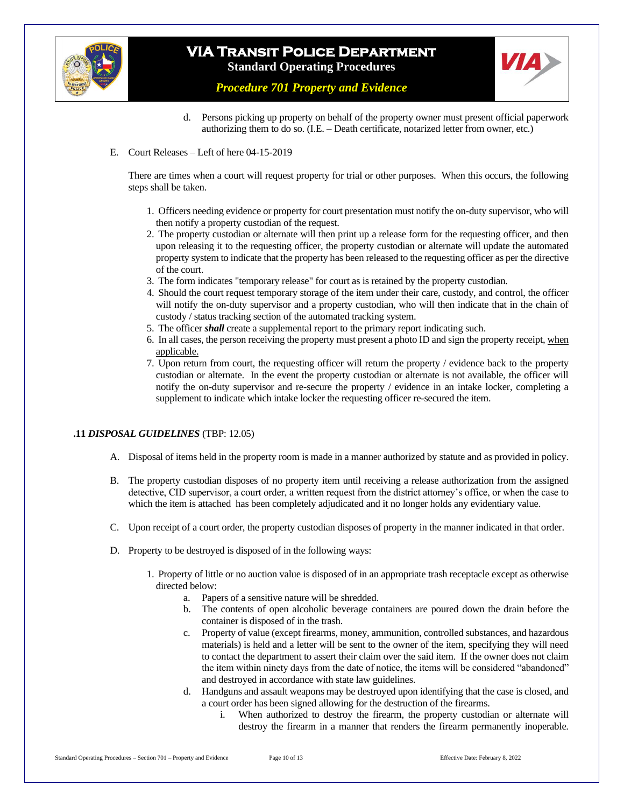



*Procedure 701 Property and Evidence*

- d. Persons picking up property on behalf of the property owner must present official paperwork authorizing them to do so. (I.E. – Death certificate, notarized letter from owner, etc.)
- E. Court Releases Left of here 04-15-2019

There are times when a court will request property for trial or other purposes. When this occurs, the following steps shall be taken.

- 1. Officers needing evidence or property for court presentation must notify the on-duty supervisor, who will then notify a property custodian of the request.
- 2. The property custodian or alternate will then print up a release form for the requesting officer, and then upon releasing it to the requesting officer, the property custodian or alternate will update the automated property system to indicate that the property has been released to the requesting officer as per the directive of the court.
- 3. The form indicates "temporary release" for court as is retained by the property custodian.
- 4. Should the court request temporary storage of the item under their care, custody, and control, the officer will notify the on-duty supervisor and a property custodian, who will then indicate that in the chain of custody / status tracking section of the automated tracking system.
- 5. The officer *shall* create a supplemental report to the primary report indicating such.
- 6. In all cases, the person receiving the property must present a photo ID and sign the property receipt, when applicable.
- 7. Upon return from court, the requesting officer will return the property / evidence back to the property custodian or alternate. In the event the property custodian or alternate is not available, the officer will notify the on-duty supervisor and re-secure the property / evidence in an intake locker, completing a supplement to indicate which intake locker the requesting officer re-secured the item.

#### **.11** *DISPOSAL GUIDELINES* (TBP: 12.05)

- A. Disposal of items held in the property room is made in a manner authorized by statute and as provided in policy.
- B. The property custodian disposes of no property item until receiving a release authorization from the assigned detective, CID supervisor, a court order, a written request from the district attorney's office, or when the case to which the item is attached has been completely adjudicated and it no longer holds any evidentiary value.
- C. Upon receipt of a court order, the property custodian disposes of property in the manner indicated in that order.
- D. Property to be destroyed is disposed of in the following ways:
	- 1. Property of little or no auction value is disposed of in an appropriate trash receptacle except as otherwise directed below:
		- a. Papers of a sensitive nature will be shredded.
		- b. The contents of open alcoholic beverage containers are poured down the drain before the container is disposed of in the trash.
		- c. Property of value (except firearms, money, ammunition, controlled substances, and hazardous materials) is held and a letter will be sent to the owner of the item, specifying they will need to contact the department to assert their claim over the said item. If the owner does not claim the item within ninety days from the date of notice, the items will be considered "abandoned" and destroyed in accordance with state law guidelines.
		- d. Handguns and assault weapons may be destroyed upon identifying that the case is closed, and a court order has been signed allowing for the destruction of the firearms.
			- i. When authorized to destroy the firearm, the property custodian or alternate will destroy the firearm in a manner that renders the firearm permanently inoperable.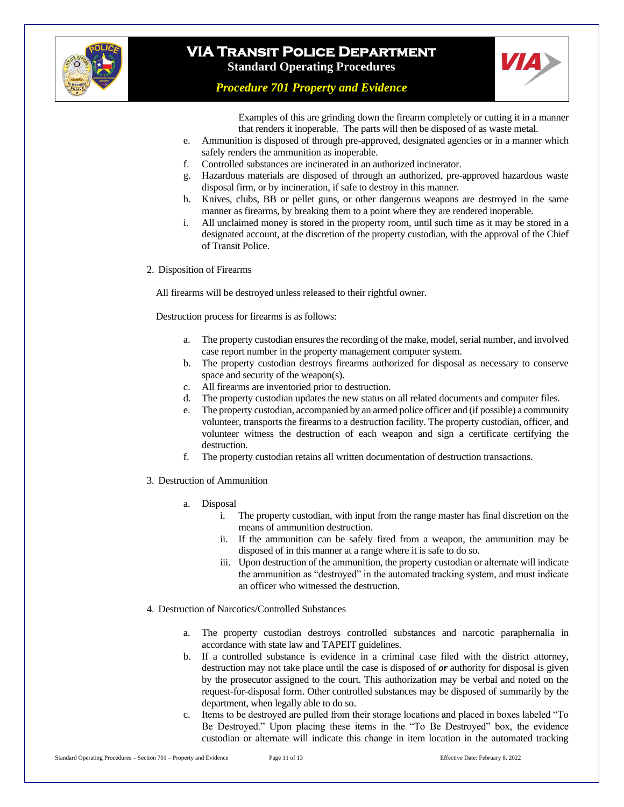



*Procedure 701 Property and Evidence*

Examples of this are grinding down the firearm completely or cutting it in a manner that renders it inoperable. The parts will then be disposed of as waste metal.

- e. Ammunition is disposed of through pre-approved, designated agencies or in a manner which safely renders the ammunition as inoperable.
- f. Controlled substances are incinerated in an authorized incinerator.
- g. Hazardous materials are disposed of through an authorized, pre-approved hazardous waste disposal firm, or by incineration, if safe to destroy in this manner.
- h. Knives, clubs, BB or pellet guns, or other dangerous weapons are destroyed in the same manner as firearms, by breaking them to a point where they are rendered inoperable.
- i. All unclaimed money is stored in the property room, until such time as it may be stored in a designated account, at the discretion of the property custodian, with the approval of the Chief of Transit Police.
- 2. Disposition of Firearms

All firearms will be destroyed unless released to their rightful owner.

Destruction process for firearms is as follows:

- a. The property custodian ensures the recording of the make, model, serial number, and involved case report number in the property management computer system.
- b. The property custodian destroys firearms authorized for disposal as necessary to conserve space and security of the weapon(s).
- c. All firearms are inventoried prior to destruction.
- d. The property custodian updates the new status on all related documents and computer files.
- e. The property custodian, accompanied by an armed police officer and (if possible) a community volunteer, transports the firearms to a destruction facility. The property custodian, officer, and volunteer witness the destruction of each weapon and sign a certificate certifying the destruction.
- f. The property custodian retains all written documentation of destruction transactions.
- 3. Destruction of Ammunition
	- a. Disposal
		- i. The property custodian, with input from the range master has final discretion on the means of ammunition destruction.
		- ii. If the ammunition can be safely fired from a weapon, the ammunition may be disposed of in this manner at a range where it is safe to do so.
		- iii. Upon destruction of the ammunition, the property custodian or alternate will indicate the ammunition as "destroyed" in the automated tracking system, and must indicate an officer who witnessed the destruction.
- 4. Destruction of Narcotics/Controlled Substances
	- a. The property custodian destroys controlled substances and narcotic paraphernalia in accordance with state law and TAPEIT guidelines.
	- b. If a controlled substance is evidence in a criminal case filed with the district attorney, destruction may not take place until the case is disposed of *or* authority for disposal is given by the prosecutor assigned to the court. This authorization may be verbal and noted on the request-for-disposal form. Other controlled substances may be disposed of summarily by the department, when legally able to do so.
	- c. Items to be destroyed are pulled from their storage locations and placed in boxes labeled "To Be Destroyed." Upon placing these items in the "To Be Destroyed" box, the evidence custodian or alternate will indicate this change in item location in the automated tracking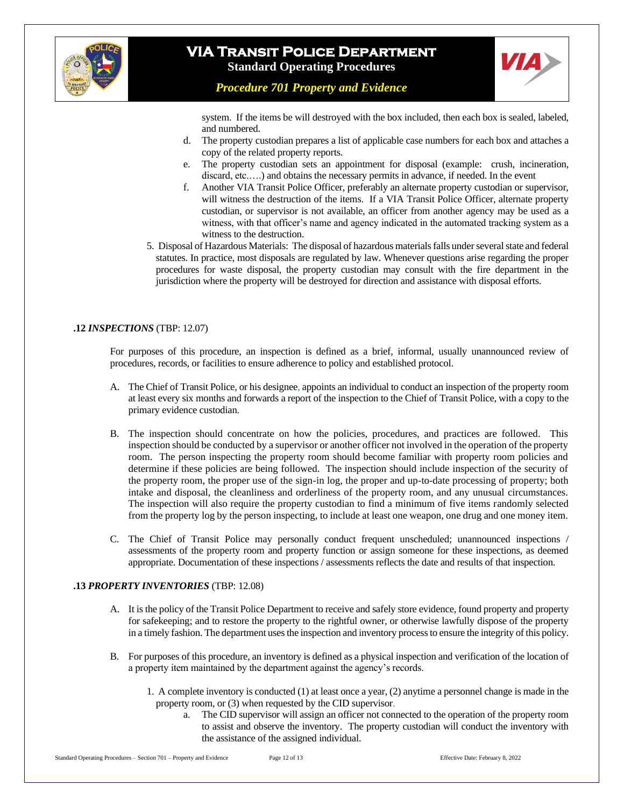



*Procedure 701 Property and Evidence*

system. If the items be will destroyed with the box included, then each box is sealed, labeled, and numbered.

- d. The property custodian prepares a list of applicable case numbers for each box and attaches a copy of the related property reports.
- e. The property custodian sets an appointment for disposal (example: crush, incineration, discard, etc.....) and obtains the necessary permits in advance, if needed. In the event
- f. Another VIA Transit Police Officer, preferably an alternate property custodian or supervisor, will witness the destruction of the items. If a VIA Transit Police Officer, alternate property custodian, or supervisor is not available, an officer from another agency may be used as a witness, with that officer's name and agency indicated in the automated tracking system as a witness to the destruction.
- 5. Disposal of Hazardous Materials: The disposal of hazardous materials falls under several state and federal statutes. In practice, most disposals are regulated by law. Whenever questions arise regarding the proper procedures for waste disposal, the property custodian may consult with the fire department in the jurisdiction where the property will be destroyed for direction and assistance with disposal efforts.

#### **.12** *INSPECTIONS* (TBP: 12.07)

For purposes of this procedure, an inspection is defined as a brief, informal, usually unannounced review of procedures, records, or facilities to ensure adherence to policy and established protocol.

- A. The Chief of Transit Police, or his designee, appoints an individual to conduct an inspection of the property room at least every six months and forwards a report of the inspection to the Chief of Transit Police, with a copy to the primary evidence custodian.
- B. The inspection should concentrate on how the policies, procedures, and practices are followed. This inspection should be conducted by a supervisor or another officer not involved in the operation of the property room. The person inspecting the property room should become familiar with property room policies and determine if these policies are being followed. The inspection should include inspection of the security of the property room, the proper use of the sign-in log, the proper and up-to-date processing of property; both intake and disposal, the cleanliness and orderliness of the property room, and any unusual circumstances. The inspection will also require the property custodian to find a minimum of five items randomly selected from the property log by the person inspecting, to include at least one weapon, one drug and one money item.
- C. The Chief of Transit Police may personally conduct frequent unscheduled; unannounced inspections / assessments of the property room and property function or assign someone for these inspections, as deemed appropriate. Documentation of these inspections / assessments reflects the date and results of that inspection.

#### **.13** *PROPERTY INVENTORIES* (TBP: 12.08)

- A. It is the policy of the Transit Police Department to receive and safely store evidence, found property and property for safekeeping; and to restore the property to the rightful owner, or otherwise lawfully dispose of the property in a timely fashion. The department uses the inspection and inventory process to ensure the integrity of this policy.
- B. For purposes of this procedure, an inventory is defined as a physical inspection and verification of the location of a property item maintained by the department against the agency's records.
	- 1. A complete inventory is conducted (1) at least once a year, (2) anytime a personnel change is made in the property room, or (3) when requested by the CID supervisor.
		- a. The CID supervisor will assign an officer not connected to the operation of the property room to assist and observe the inventory. The property custodian will conduct the inventory with the assistance of the assigned individual.